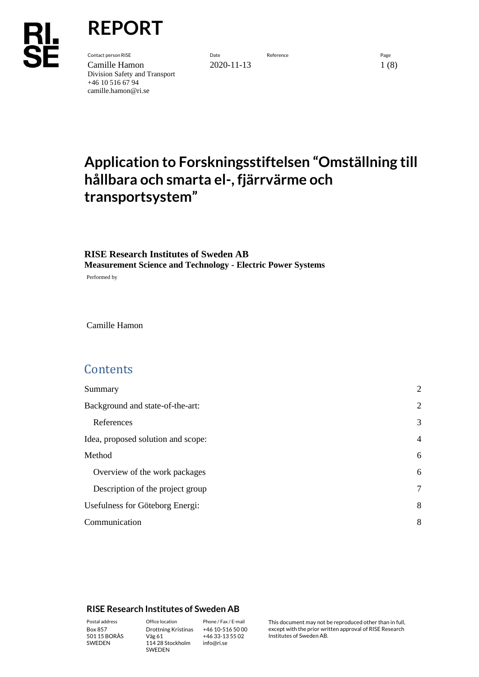**REPORT**

**Contact person RISE** Page **Date Date Date Reference Page 19** Camille Hamon 2020-11-13 1 (8) Division Safety and Transport +46 10 516 67 94 camille.hamon@ri.se

# **Application to Forskningsstiftelsen "Omställning till hållbara och smarta el-, fjärrvärme och transportsystem"**

## **RISE Research Institutes of Sweden AB Measurement Science and Technology - Electric Power Systems**

Performed by

Camille Hamon

# **Contents**

| Summary                            | $\overline{2}$ |
|------------------------------------|----------------|
| Background and state-of-the-art:   | $\overline{2}$ |
| References                         | 3              |
| Idea, proposed solution and scope: | $\overline{4}$ |
| Method                             | 6              |
| Overview of the work packages      | 6              |
| Description of the project group   | 7              |
| Usefulness for Göteborg Energi:    | 8              |
| Communication                      | 8              |

#### **RISE Research Institutes of Sweden AB**

SWEDEN

Box 857 501 15 BORÅS SWEDEN

Väg 61 114 28 Stockholm

Drottning Kristinas +46 10-516 50 00 +46 33-13 55 02 info@ri.se

Postal address Office location Phone / Fax / E-mail This document may not be reproduced other than in full, except with the prior written approval of RISE Research Institutes of Sweden AB.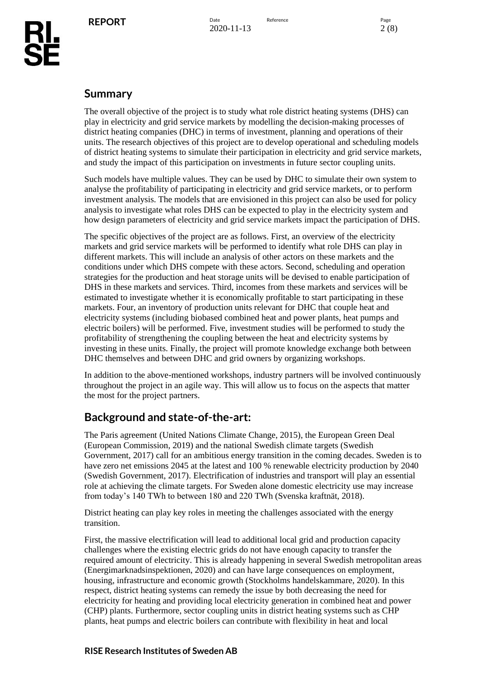## <span id="page-1-0"></span>**Summary**

The overall objective of the project is to study what role district heating systems (DHS) can play in electricity and grid service markets by modelling the decision-making processes of district heating companies (DHC) in terms of investment, planning and operations of their units. The research objectives of this project are to develop operational and scheduling models of district heating systems to simulate their participation in electricity and grid service markets, and study the impact of this participation on investments in future sector coupling units.

Such models have multiple values. They can be used by DHC to simulate their own system to analyse the profitability of participating in electricity and grid service markets, or to perform investment analysis. The models that are envisioned in this project can also be used for policy analysis to investigate what roles DHS can be expected to play in the electricity system and how design parameters of electricity and grid service markets impact the participation of DHS.

The specific objectives of the project are as follows. First, an overview of the electricity markets and grid service markets will be performed to identify what role DHS can play in different markets. This will include an analysis of other actors on these markets and the conditions under which DHS compete with these actors. Second, scheduling and operation strategies for the production and heat storage units will be devised to enable participation of DHS in these markets and services. Third, incomes from these markets and services will be estimated to investigate whether it is economically profitable to start participating in these markets. Four, an inventory of production units relevant for DHC that couple heat and electricity systems (including biobased combined heat and power plants, heat pumps and electric boilers) will be performed. Five, investment studies will be performed to study the profitability of strengthening the coupling between the heat and electricity systems by investing in these units. Finally, the project will promote knowledge exchange both between DHC themselves and between DHC and grid owners by organizing workshops.

In addition to the above-mentioned workshops, industry partners will be involved continuously throughout the project in an agile way. This will allow us to focus on the aspects that matter the most for the project partners.

# <span id="page-1-1"></span>**Background and state-of-the-art:**

The Paris agreement (United Nations Climate Change, 2015), the European Green Deal (European Commission, 2019) and the national Swedish climate targets (Swedish Government, 2017) call for an ambitious energy transition in the coming decades. Sweden is to have zero net emissions 2045 at the latest and 100 % renewable electricity production by 2040 (Swedish Government, 2017). Electrification of industries and transport will play an essential role at achieving the climate targets. For Sweden alone domestic electricity use may increase from today's 140 TWh to between 180 and 220 TWh (Svenska kraftnät, 2018).

District heating can play key roles in meeting the challenges associated with the energy transition.

First, the massive electrification will lead to additional local grid and production capacity challenges where the existing electric grids do not have enough capacity to transfer the required amount of electricity. This is already happening in several Swedish metropolitan areas (Energimarknadsinspektionen, 2020) and can have large consequences on employment, housing, infrastructure and economic growth (Stockholms handelskammare, 2020). In this respect, district heating systems can remedy the issue by both decreasing the need for electricity for heating and providing local electricity generation in combined heat and power (CHP) plants. Furthermore, sector coupling units in district heating systems such as CHP plants, heat pumps and electric boilers can contribute with flexibility in heat and local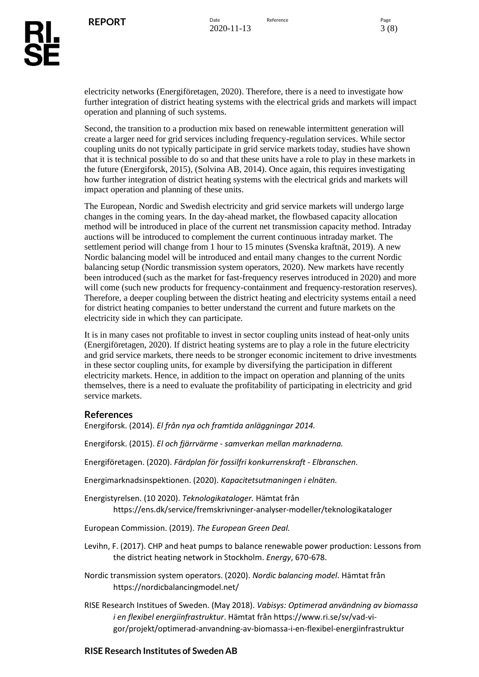electricity networks (Energiföretagen, 2020). Therefore, there is a need to investigate how further integration of district heating systems with the electrical grids and markets will impact operation and planning of such systems.

Second, the transition to a production mix based on renewable intermittent generation will create a larger need for grid services including frequency-regulation services. While sector coupling units do not typically participate in grid service markets today, studies have shown that it is technical possible to do so and that these units have a role to play in these markets in the future (Energiforsk, 2015), (Solvina AB, 2014). Once again, this requires investigating how further integration of district heating systems with the electrical grids and markets will impact operation and planning of these units.

The European, Nordic and Swedish electricity and grid service markets will undergo large changes in the coming years. In the day-ahead market, the flowbased capacity allocation method will be introduced in place of the current net transmission capacity method. Intraday auctions will be introduced to complement the current continuous intraday market. The settlement period will change from 1 hour to 15 minutes (Svenska kraftnät, 2019). A new Nordic balancing model will be introduced and entail many changes to the current Nordic balancing setup (Nordic transmission system operators, 2020). New markets have recently been introduced (such as the market for fast-frequency reserves introduced in 2020) and more will come (such new products for frequency-containment and frequency-restoration reserves). Therefore, a deeper coupling between the district heating and electricity systems entail a need for district heating companies to better understand the current and future markets on the electricity side in which they can participate.

It is in many cases not profitable to invest in sector coupling units instead of heat-only units (Energiföretagen, 2020). If district heating systems are to play a role in the future electricity and grid service markets, there needs to be stronger economic incitement to drive investments in these sector coupling units, for example by diversifying the participation in different electricity markets. Hence, in addition to the impact on operation and planning of the units themselves, there is a need to evaluate the profitability of participating in electricity and grid service markets.

### <span id="page-2-0"></span>**References**

Energiforsk. (2014). *El från nya och framtida anläggningar 2014.*

Energiforsk. (2015). *El och fjärrvärme - samverkan mellan marknaderna.*

Energiföretagen. (2020). *Färdplan för fossilfri konkurrenskraft - Elbranschen.*

Energimarknadsinspektionen. (2020). *Kapacitetsutmaningen i elnäten.*

Energistyrelsen. (10 2020). *Teknologikataloger.* Hämtat från https://ens.dk/service/fremskrivninger-analyser-modeller/teknologikataloger

European Commission. (2019). *The European Green Deal.*

Levihn, F. (2017). CHP and heat pumps to balance renewable power production: Lessons from the district heating network in Stockholm. *Energy*, 670-678.

Nordic transmission system operators. (2020). *Nordic balancing model*. Hämtat från https://nordicbalancingmodel.net/

RISE Research Institues of Sweden. (May 2018). *Vabisys: Optimerad användning av biomassa i en flexibel energiinfrastruktur*. Hämtat från https://www.ri.se/sv/vad-vigor/projekt/optimerad-anvandning-av-biomassa-i-en-flexibel-energiinfrastruktur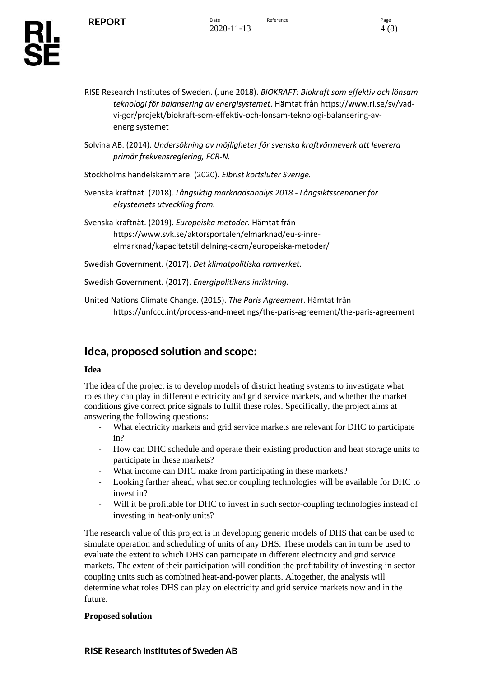- RISE Research Institutes of Sweden. (June 2018). *BIOKRAFT: Biokraft som effektiv och lönsam teknologi för balansering av energisystemet*. Hämtat från https://www.ri.se/sv/vadvi-gor/projekt/biokraft-som-effektiv-och-lonsam-teknologi-balansering-avenergisystemet
- Solvina AB. (2014). *Undersökning av möjligheter för svenska kraftvärmeverk att leverera primär frekvensreglering, FCR-N.*
- Stockholms handelskammare. (2020). *Elbrist kortsluter Sverige.*
- Svenska kraftnät. (2018). *Långsiktig marknadsanalys 2018 - Långsiktsscenarier för elsystemets utveckling fram.*
- Svenska kraftnät. (2019). *Europeiska metoder*. Hämtat från https://www.svk.se/aktorsportalen/elmarknad/eu-s-inreelmarknad/kapacitetstilldelning-cacm/europeiska-metoder/
- Swedish Government. (2017). *Det klimatpolitiska ramverket.*
- Swedish Government. (2017). *Energipolitikens inriktning.*
- United Nations Climate Change. (2015). *The Paris Agreement*. Hämtat från https://unfccc.int/process-and-meetings/the-paris-agreement/the-paris-agreement

# <span id="page-3-0"></span>**Idea, proposed solution and scope:**

#### **Idea**

The idea of the project is to develop models of district heating systems to investigate what roles they can play in different electricity and grid service markets, and whether the market conditions give correct price signals to fulfil these roles. Specifically, the project aims at answering the following questions:

- What electricity markets and grid service markets are relevant for DHC to participate in?
- How can DHC schedule and operate their existing production and heat storage units to participate in these markets?
- What income can DHC make from participating in these markets?
- Looking farther ahead, what sector coupling technologies will be available for DHC to invest in?
- Will it be profitable for DHC to invest in such sector-coupling technologies instead of investing in heat-only units?

The research value of this project is in developing generic models of DHS that can be used to simulate operation and scheduling of units of any DHS. These models can in turn be used to evaluate the extent to which DHS can participate in different electricity and grid service markets. The extent of their participation will condition the profitability of investing in sector coupling units such as combined heat-and-power plants. Altogether, the analysis will determine what roles DHS can play on electricity and grid service markets now and in the future.

### **Proposed solution**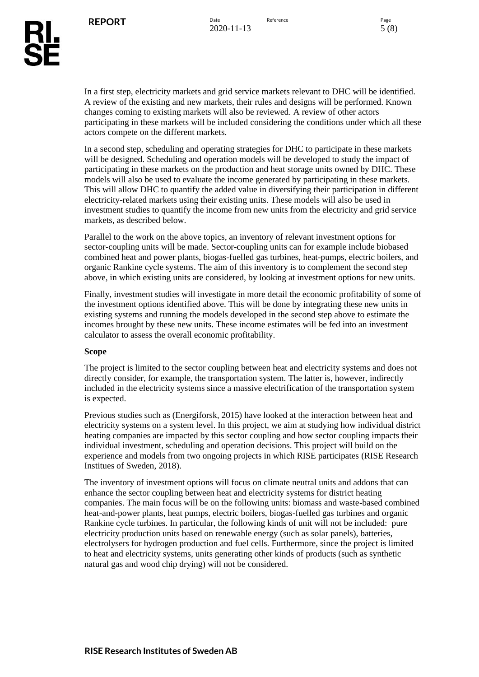In a first step, electricity markets and grid service markets relevant to DHC will be identified. A review of the existing and new markets, their rules and designs will be performed. Known changes coming to existing markets will also be reviewed. A review of other actors participating in these markets will be included considering the conditions under which all these actors compete on the different markets.

In a second step, scheduling and operating strategies for DHC to participate in these markets will be designed. Scheduling and operation models will be developed to study the impact of participating in these markets on the production and heat storage units owned by DHC. These models will also be used to evaluate the income generated by participating in these markets. This will allow DHC to quantify the added value in diversifying their participation in different electricity-related markets using their existing units. These models will also be used in investment studies to quantify the income from new units from the electricity and grid service markets, as described below.

Parallel to the work on the above topics, an inventory of relevant investment options for sector-coupling units will be made. Sector-coupling units can for example include biobased combined heat and power plants, biogas-fuelled gas turbines, heat-pumps, electric boilers, and organic Rankine cycle systems. The aim of this inventory is to complement the second step above, in which existing units are considered, by looking at investment options for new units.

Finally, investment studies will investigate in more detail the economic profitability of some of the investment options identified above. This will be done by integrating these new units in existing systems and running the models developed in the second step above to estimate the incomes brought by these new units. These income estimates will be fed into an investment calculator to assess the overall economic profitability.

#### **Scope**

The project is limited to the sector coupling between heat and electricity systems and does not directly consider, for example, the transportation system. The latter is, however, indirectly included in the electricity systems since a massive electrification of the transportation system is expected.

Previous studies such as (Energiforsk, 2015) have looked at the interaction between heat and electricity systems on a system level. In this project, we aim at studying how individual district heating companies are impacted by this sector coupling and how sector coupling impacts their individual investment, scheduling and operation decisions. This project will build on the experience and models from two ongoing projects in which RISE participates (RISE Research Institues of Sweden, 2018).

The inventory of investment options will focus on climate neutral units and addons that can enhance the sector coupling between heat and electricity systems for district heating companies. The main focus will be on the following units: biomass and waste-based combined heat-and-power plants, heat pumps, electric boilers, biogas-fuelled gas turbines and organic Rankine cycle turbines. In particular, the following kinds of unit will not be included: pure electricity production units based on renewable energy (such as solar panels), batteries, electrolysers for hydrogen production and fuel cells. Furthermore, since the project is limited to heat and electricity systems, units generating other kinds of products (such as synthetic natural gas and wood chip drying) will not be considered.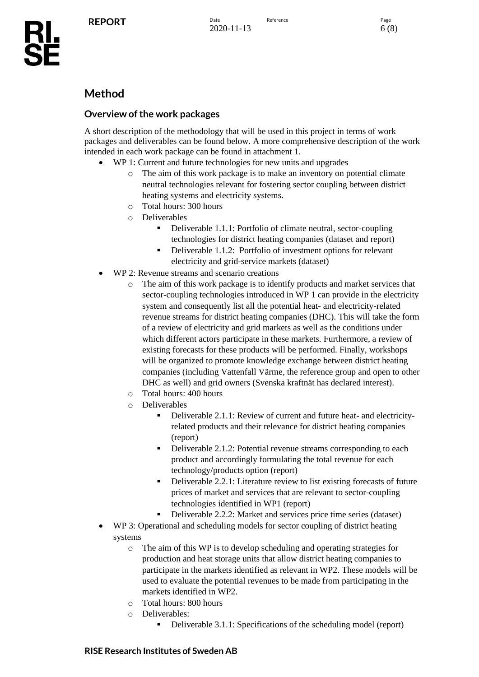# <span id="page-5-0"></span>**Method**

### <span id="page-5-1"></span>**Overview of the work packages**

A short description of the methodology that will be used in this project in terms of work packages and deliverables can be found below. A more comprehensive description of the work intended in each work package can be found in attachment 1.

- WP 1: Current and future technologies for new units and upgrades
	- o The aim of this work package is to make an inventory on potential climate neutral technologies relevant for fostering sector coupling between district heating systems and electricity systems.
	- o Total hours: 300 hours
	- o Deliverables
		- Deliverable 1.1.1: Portfolio of climate neutral, sector-coupling technologies for district heating companies (dataset and report)
		- Deliverable 1.1.2: Portfolio of investment options for relevant electricity and grid-service markets (dataset)
- WP 2: Revenue streams and scenario creations
	- o The aim of this work package is to identify products and market services that sector-coupling technologies introduced in WP 1 can provide in the electricity system and consequently list all the potential heat- and electricity-related revenue streams for district heating companies (DHC). This will take the form of a review of electricity and grid markets as well as the conditions under which different actors participate in these markets. Furthermore, a review of existing forecasts for these products will be performed. Finally, workshops will be organized to promote knowledge exchange between district heating companies (including Vattenfall Värme, the reference group and open to other DHC as well) and grid owners (Svenska kraftnät has declared interest).
	- o Total hours: 400 hours
	- o Deliverables
		- Deliverable 2.1.1: Review of current and future heat- and electricityrelated products and their relevance for district heating companies (report)
		- Deliverable 2.1.2: Potential revenue streams corresponding to each product and accordingly formulating the total revenue for each technology/products option (report)
		- Deliverable 2.2.1: Literature review to list existing forecasts of future prices of market and services that are relevant to sector-coupling technologies identified in WP1 (report)
		- Deliverable 2.2.2: Market and services price time series (dataset)
- WP 3: Operational and scheduling models for sector coupling of district heating systems
	- o The aim of this WP is to develop scheduling and operating strategies for production and heat storage units that allow district heating companies to participate in the markets identified as relevant in WP2. These models will be used to evaluate the potential revenues to be made from participating in the markets identified in WP2.
	- o Total hours: 800 hours
	- o Deliverables:
		- Deliverable 3.1.1: Specifications of the scheduling model (report)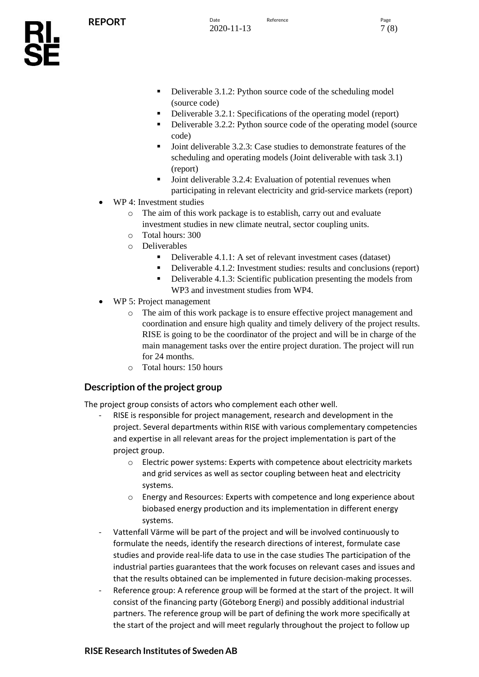- Deliverable 3.1.2: Python source code of the scheduling model (source code)
- Deliverable 3.2.1: Specifications of the operating model (report)
- Deliverable 3.2.2: Python source code of the operating model (source code)
- Joint deliverable 3.2.3: Case studies to demonstrate features of the scheduling and operating models (Joint deliverable with task 3.1) (report)
- Joint deliverable 3.2.4: Evaluation of potential revenues when participating in relevant electricity and grid-service markets (report)
- WP 4: Investment studies
	- o The aim of this work package is to establish, carry out and evaluate investment studies in new climate neutral, sector coupling units.
	- o Total hours: 300
	- o Deliverables
		- Deliverable 4.1.1: A set of relevant investment cases (dataset)
		- Deliverable 4.1.2: Investment studies: results and conclusions (report)
		- Deliverable 4.1.3: Scientific publication presenting the models from WP3 and investment studies from WP4.
- WP 5: Project management
	- o The aim of this work package is to ensure effective project management and coordination and ensure high quality and timely delivery of the project results. RISE is going to be the coordinator of the project and will be in charge of the main management tasks over the entire project duration. The project will run for 24 months.
	- o Total hours: 150 hours

### <span id="page-6-0"></span>**Description of the project group**

The project group consists of actors who complement each other well.

- RISE is responsible for project management, research and development in the project. Several departments within RISE with various complementary competencies and expertise in all relevant areas for the project implementation is part of the project group.
	- o Electric power systems: Experts with competence about electricity markets and grid services as well as sector coupling between heat and electricity systems.
	- o Energy and Resources: Experts with competence and long experience about biobased energy production and its implementation in different energy systems.
- Vattenfall Värme will be part of the project and will be involved continuously to formulate the needs, identify the research directions of interest, formulate case studies and provide real-life data to use in the case studies The participation of the industrial parties guarantees that the work focuses on relevant cases and issues and that the results obtained can be implemented in future decision-making processes.
- Reference group: A reference group will be formed at the start of the project. It will consist of the financing party (Göteborg Energi) and possibly additional industrial partners. The reference group will be part of defining the work more specifically at the start of the project and will meet regularly throughout the project to follow up